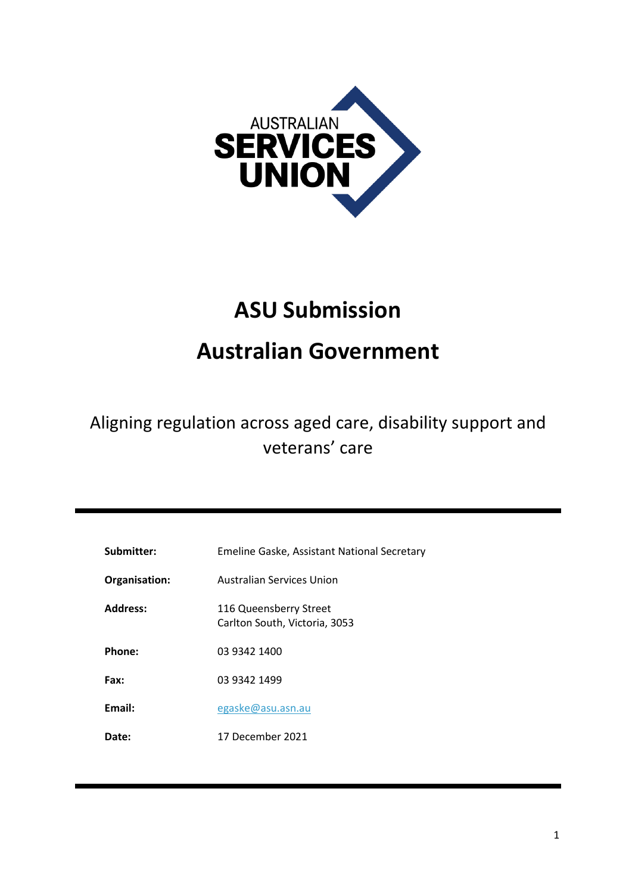

# **ASU Submission**

# **Australian Government**

# Aligning regulation across aged care, disability support and veterans' care

| Submitter:      | Emeline Gaske, Assistant National Secretary             |
|-----------------|---------------------------------------------------------|
| Organisation:   | Australian Services Union                               |
| <b>Address:</b> | 116 Queensberry Street<br>Carlton South, Victoria, 3053 |
| Phone:          | 03 9342 1400                                            |
| Fax:            | 03 9342 1499                                            |
| Email:          | egaske@asu.asn.au                                       |
| <b>Date:</b>    | 17 December 2021                                        |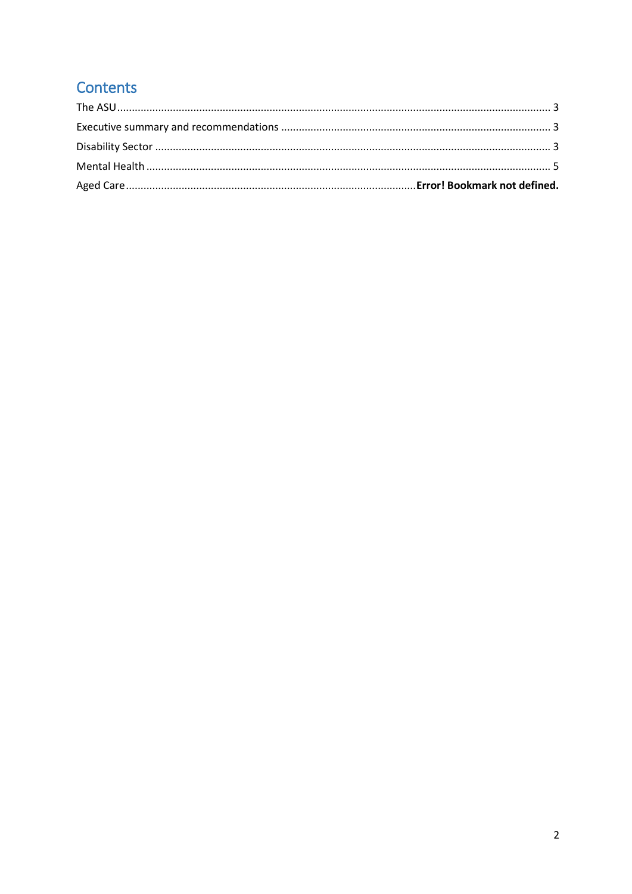# Contents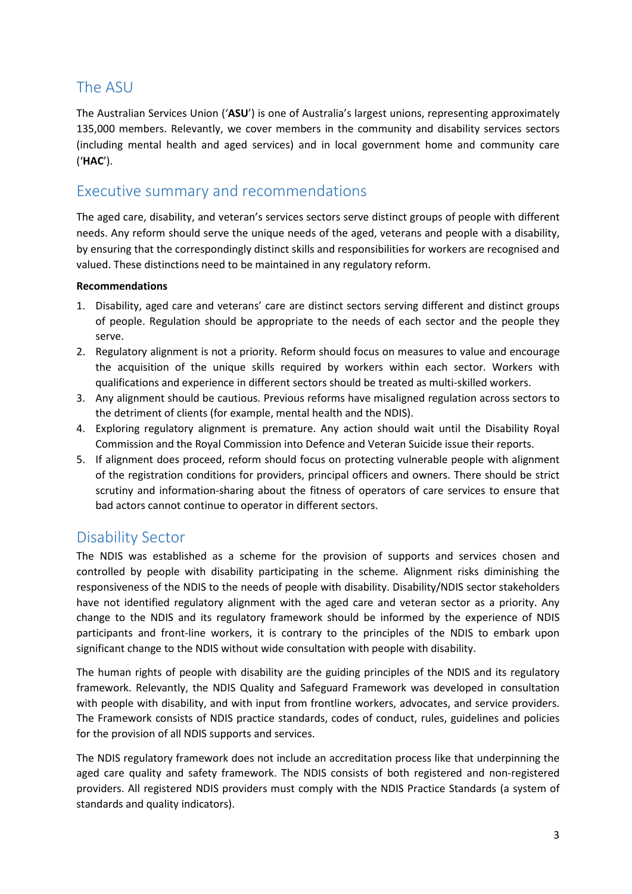## <span id="page-2-0"></span>The ASU

The Australian Services Union ('**ASU**') is one of Australia's largest unions, representing approximately 135,000 members. Relevantly, we cover members in the community and disability services sectors (including mental health and aged services) and in local government home and community care ('**HAC**').

#### <span id="page-2-1"></span>Executive summary and recommendations

The aged care, disability, and veteran's services sectors serve distinct groups of people with different needs. Any reform should serve the unique needs of the aged, veterans and people with a disability, by ensuring that the correspondingly distinct skills and responsibilities for workers are recognised and valued. These distinctions need to be maintained in any regulatory reform.

#### **Recommendations**

- 1. Disability, aged care and veterans' care are distinct sectors serving different and distinct groups of people. Regulation should be appropriate to the needs of each sector and the people they serve.
- 2. Regulatory alignment is not a priority. Reform should focus on measures to value and encourage the acquisition of the unique skills required by workers within each sector. Workers with qualifications and experience in different sectors should be treated as multi-skilled workers.
- 3. Any alignment should be cautious. Previous reforms have misaligned regulation across sectors to the detriment of clients (for example, mental health and the NDIS).
- 4. Exploring regulatory alignment is premature. Any action should wait until the Disability Royal Commission and the Royal Commission into Defence and Veteran Suicide issue their reports.
- 5. If alignment does proceed, reform should focus on protecting vulnerable people with alignment of the registration conditions for providers, principal officers and owners. There should be strict scrutiny and information-sharing about the fitness of operators of care services to ensure that bad actors cannot continue to operator in different sectors.

#### <span id="page-2-2"></span>Disability Sector

The NDIS was established as a scheme for the provision of supports and services chosen and controlled by people with disability participating in the scheme. Alignment risks diminishing the responsiveness of the NDIS to the needs of people with disability. Disability/NDIS sector stakeholders have not identified regulatory alignment with the aged care and veteran sector as a priority. Any change to the NDIS and its regulatory framework should be informed by the experience of NDIS participants and front-line workers, it is contrary to the principles of the NDIS to embark upon significant change to the NDIS without wide consultation with people with disability.

The human rights of people with disability are the guiding principles of the NDIS and its regulatory framework. Relevantly, the NDIS Quality and Safeguard Framework was developed in consultation with people with disability, and with input from frontline workers, advocates, and service providers. The Framework consists of NDIS practice standards, codes of conduct, rules, guidelines and policies for the provision of all NDIS supports and services.

The NDIS regulatory framework does not include an accreditation process like that underpinning the aged care quality and safety framework. The NDIS consists of both registered and non-registered providers. All registered NDIS providers must comply with the NDIS Practice Standards (a system of standards and quality indicators).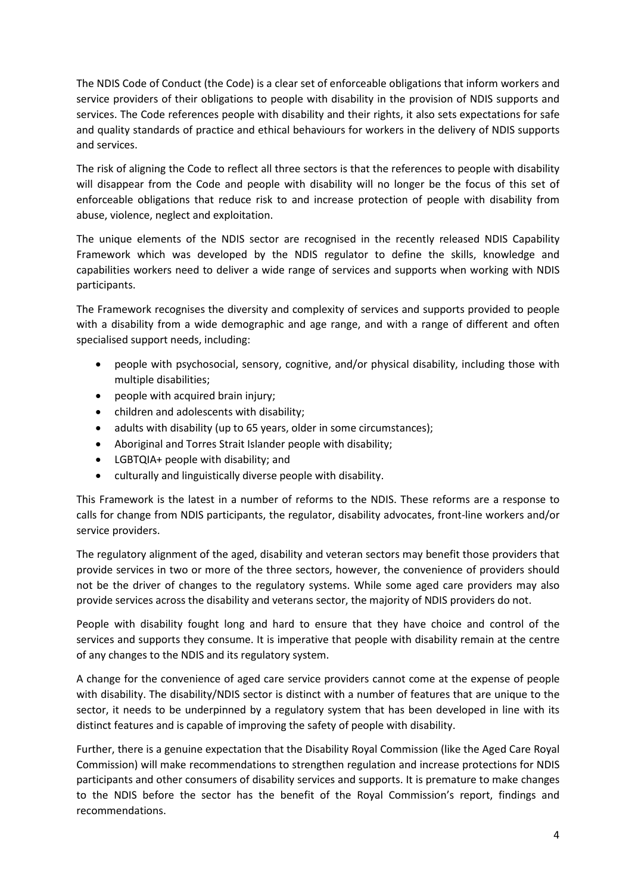The NDIS Code of Conduct (the Code) is a clear set of enforceable obligations that inform workers and service providers of their obligations to people with disability in the provision of NDIS supports and services. The Code references people with disability and their rights, it also sets expectations for safe and quality standards of practice and ethical behaviours for workers in the delivery of NDIS supports and services.

The risk of aligning the Code to reflect all three sectors is that the references to people with disability will disappear from the Code and people with disability will no longer be the focus of this set of enforceable obligations that reduce risk to and increase protection of people with disability from abuse, violence, neglect and exploitation.

The unique elements of the NDIS sector are recognised in the recently released NDIS Capability Framework which was developed by the NDIS regulator to define the skills, knowledge and capabilities workers need to deliver a wide range of services and supports when working with NDIS participants.

The Framework recognises the diversity and complexity of services and supports provided to people with a disability from a wide demographic and age range, and with a range of different and often specialised support needs, including:

- people with psychosocial, sensory, cognitive, and/or physical disability, including those with multiple disabilities;
- people with acquired brain injury;
- children and adolescents with disability;
- adults with disability (up to 65 years, older in some circumstances);
- Aboriginal and Torres Strait Islander people with disability;
- LGBTQIA+ people with disability; and
- culturally and linguistically diverse people with disability.

This Framework is the latest in a number of reforms to the NDIS. These reforms are a response to calls for change from NDIS participants, the regulator, disability advocates, front-line workers and/or service providers.

The regulatory alignment of the aged, disability and veteran sectors may benefit those providers that provide services in two or more of the three sectors, however, the convenience of providers should not be the driver of changes to the regulatory systems. While some aged care providers may also provide services across the disability and veterans sector, the majority of NDIS providers do not.

People with disability fought long and hard to ensure that they have choice and control of the services and supports they consume. It is imperative that people with disability remain at the centre of any changes to the NDIS and its regulatory system.

A change for the convenience of aged care service providers cannot come at the expense of people with disability. The disability/NDIS sector is distinct with a number of features that are unique to the sector, it needs to be underpinned by a regulatory system that has been developed in line with its distinct features and is capable of improving the safety of people with disability.

Further, there is a genuine expectation that the Disability Royal Commission (like the Aged Care Royal Commission) will make recommendations to strengthen regulation and increase protections for NDIS participants and other consumers of disability services and supports. It is premature to make changes to the NDIS before the sector has the benefit of the Royal Commission's report, findings and recommendations.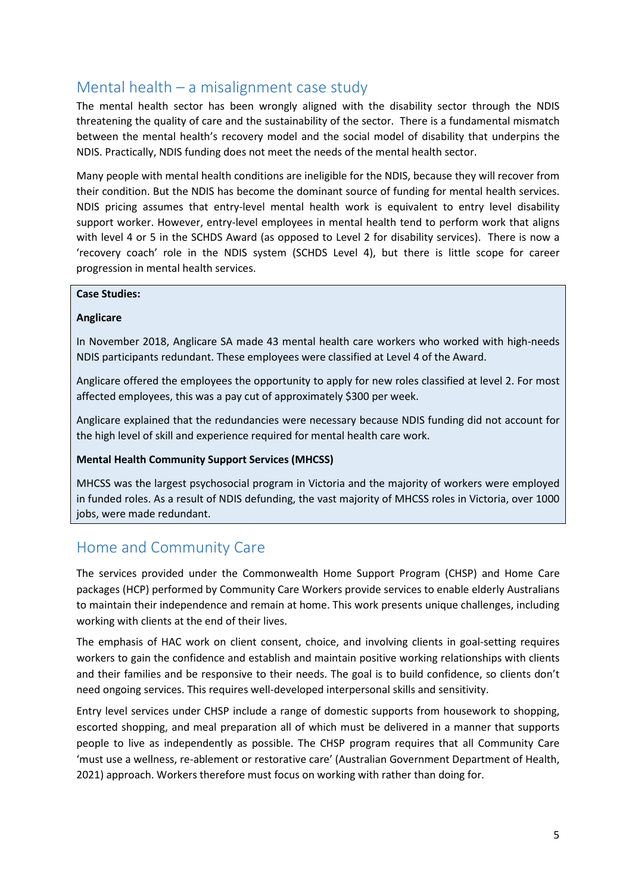## <span id="page-4-0"></span>Mental health – a misalignment case study

The mental health sector has been wrongly aligned with the disability sector through the NDIS threatening the quality of care and the sustainability of the sector. There is a fundamental mismatch between the mental health's recovery model and the social model of disability that underpins the NDIS. Practically, NDIS funding does not meet the needs of the mental health sector.

Many people with mental health conditions are ineligible for the NDIS, because they will recover from their condition. But the NDIS has become the dominant source of funding for mental health services. NDIS pricing assumes that entry-level mental health work is equivalent to entry level disability support worker. However, entry-level employees in mental health tend to perform work that aligns with level 4 or 5 in the SCHDS Award (as opposed to Level 2 for disability services). There is now a 'recovery coach' role in the NDIS system (SCHDS Level 4), but there is little scope for career progression in mental health services.

#### **Case Studies:**

#### **Anglicare**

In November 2018, Anglicare SA made 43 mental health care workers who worked with high-needs NDIS participants redundant. These employees were classified at Level 4 of the Award.

Anglicare offered the employees the opportunity to apply for new roles classified at level 2. For most affected employees, this was a pay cut of approximately \$300 per week.

Anglicare explained that the redundancies were necessary because NDIS funding did not account for the high level of skill and experience required for mental health care work.

#### **Mental Health Community Support Services (MHCSS)**

MHCSS was the largest psychosocial program in Victoria and the majority of workers were employed in funded roles. As a result of NDIS defunding, the vast majority of MHCSS roles in Victoria, over 1000 jobs, were made redundant.

### Home and Community Care

The services provided under the Commonwealth Home Support Program (CHSP) and Home Care packages (HCP) performed by Community Care Workers provide services to enable elderly Australians to maintain their independence and remain at home. This work presents unique challenges, including working with clients at the end of their lives.

The emphasis of HAC work on client consent, choice, and involving clients in goal-setting requires workers to gain the confidence and establish and maintain positive working relationships with clients and their families and be responsive to their needs. The goal is to build confidence, so clients don't need ongoing services. This requires well-developed interpersonal skills and sensitivity.

Entry level services under CHSP include a range of domestic supports from housework to shopping, escorted shopping, and meal preparation all of which must be delivered in a manner that supports people to live as independently as possible. The CHSP program requires that all Community Care 'must use a wellness, re-ablement or restorative care' (Australian Government Department of Health, 2021) approach. Workers therefore must focus on working with rather than doing for.